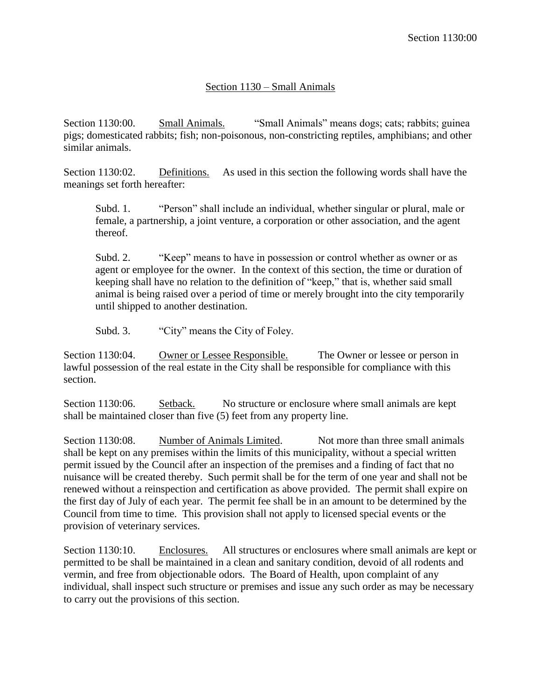## Section 1130 – Small Animals

Section 1130:00. Small Animals. "Small Animals" means dogs; cats; rabbits; guinea pigs; domesticated rabbits; fish; non-poisonous, non-constricting reptiles, amphibians; and other similar animals.

Section 1130:02. Definitions. As used in this section the following words shall have the meanings set forth hereafter:

Subd. 1. "Person" shall include an individual, whether singular or plural, male or female, a partnership, a joint venture, a corporation or other association, and the agent thereof.

Subd. 2. "Keep" means to have in possession or control whether as owner or as agent or employee for the owner. In the context of this section, the time or duration of keeping shall have no relation to the definition of "keep," that is, whether said small animal is being raised over a period of time or merely brought into the city temporarily until shipped to another destination.

Subd. 3. "City" means the City of Foley.

Section 1130:04. Owner or Lessee Responsible. The Owner or lessee or person in lawful possession of the real estate in the City shall be responsible for compliance with this section.

Section 1130:06. Setback. No structure or enclosure where small animals are kept shall be maintained closer than five (5) feet from any property line.

Section 1130:08. Number of Animals Limited. Not more than three small animals shall be kept on any premises within the limits of this municipality, without a special written permit issued by the Council after an inspection of the premises and a finding of fact that no nuisance will be created thereby. Such permit shall be for the term of one year and shall not be renewed without a reinspection and certification as above provided. The permit shall expire on the first day of July of each year. The permit fee shall be in an amount to be determined by the Council from time to time. This provision shall not apply to licensed special events or the provision of veterinary services.

Section 1130:10. Enclosures. All structures or enclosures where small animals are kept or permitted to be shall be maintained in a clean and sanitary condition, devoid of all rodents and vermin, and free from objectionable odors. The Board of Health, upon complaint of any individual, shall inspect such structure or premises and issue any such order as may be necessary to carry out the provisions of this section.